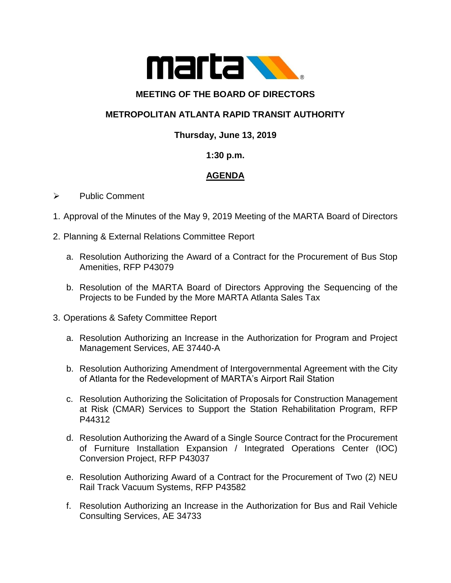

### **MEETING OF THE BOARD OF DIRECTORS**

## **METROPOLITAN ATLANTA RAPID TRANSIT AUTHORITY**

### **Thursday, June 13, 2019**

### **1:30 p.m.**

# **AGENDA**

#### ➢ Public Comment

- 1. Approval of the Minutes of the May 9, 2019 Meeting of the MARTA Board of Directors
- 2. Planning & External Relations Committee Report
	- a. Resolution Authorizing the Award of a Contract for the Procurement of Bus Stop Amenities, RFP P43079
	- b. Resolution of the MARTA Board of Directors Approving the Sequencing of the Projects to be Funded by the More MARTA Atlanta Sales Tax
- 3. Operations & Safety Committee Report
	- a. Resolution Authorizing an Increase in the Authorization for Program and Project Management Services, AE 37440-A
	- b. Resolution Authorizing Amendment of Intergovernmental Agreement with the City of Atlanta for the Redevelopment of MARTA's Airport Rail Station
	- c. Resolution Authorizing the Solicitation of Proposals for Construction Management at Risk (CMAR) Services to Support the Station Rehabilitation Program, RFP P44312
	- d. Resolution Authorizing the Award of a Single Source Contract for the Procurement of Furniture Installation Expansion / Integrated Operations Center (IOC) Conversion Project, RFP P43037
	- e. Resolution Authorizing Award of a Contract for the Procurement of Two (2) NEU Rail Track Vacuum Systems, RFP P43582
	- f. Resolution Authorizing an Increase in the Authorization for Bus and Rail Vehicle Consulting Services, AE 34733